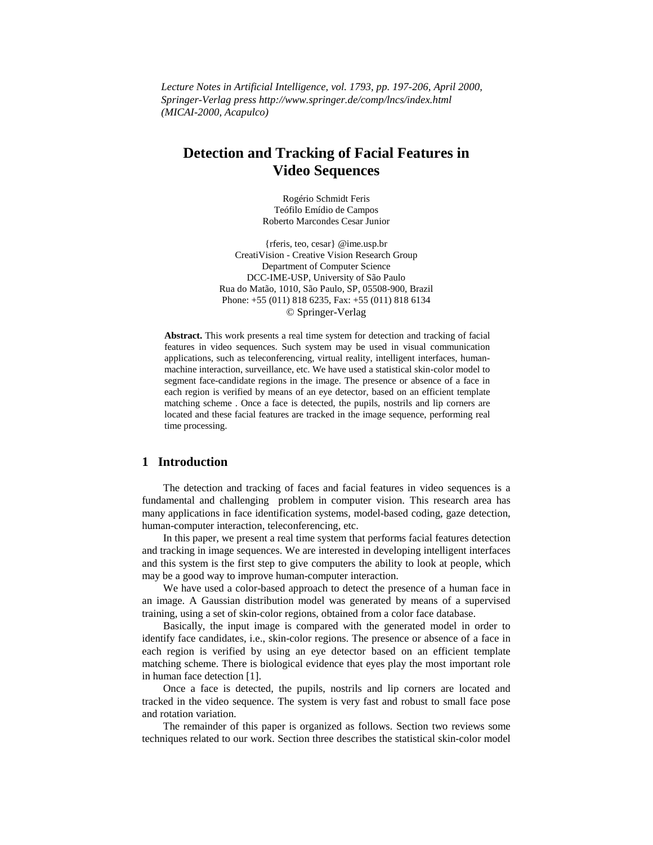*Lecture Notes in Artificial Intelligence, vol. 1793, pp. 197-206, April 2000, Springer-Verlag press http://www.springer.de/comp/lncs/index.html (MICAI-2000, Acapulco)*

# **Detection and Tracking of Facial Features in Video Sequences**

Rogério Schmidt Feris Teófilo Emídio de Campos Roberto Marcondes Cesar Junior

{rferis, teo, cesar} @ime.usp.br CreatiVision - Creative Vision Research Group Department of Computer Science DCC-IME-USP, University of São Paulo Rua do Matão, 1010, São Paulo, SP, 05508-900, Brazil Phone: +55 (011) 818 6235, Fax: +55 (011) 818 6134 © Springer-Verlag

**Abstract.** This work presents a real time system for detection and tracking of facial features in video sequences. Such system may be used in visual communication applications, such as teleconferencing, virtual reality, intelligent interfaces, humanmachine interaction, surveillance, etc. We have used a statistical skin-color model to segment face-candidate regions in the image. The presence or absence of a face in each region is verified by means of an eye detector, based on an efficient template matching scheme . Once a face is detected, the pupils, nostrils and lip corners are located and these facial features are tracked in the image sequence, performing real time processing.

## **1 Introduction**

The detection and tracking of faces and facial features in video sequences is a fundamental and challenging problem in computer vision. This research area has many applications in face identification systems, model-based coding, gaze detection, human-computer interaction, teleconferencing, etc.

In this paper, we present a real time system that performs facial features detection and tracking in image sequences. We are interested in developing intelligent interfaces and this system is the first step to give computers the ability to look at people, which may be a good way to improve human-computer interaction.

We have used a color-based approach to detect the presence of a human face in an image. A Gaussian distribution model was generated by means of a supervised training, using a set of skin-color regions, obtained from a color face database.

Basically, the input image is compared with the generated model in order to identify face candidates, i.e., skin-color regions. The presence or absence of a face in each region is verified by using an eye detector based on an efficient template matching scheme. There is biological evidence that eyes play the most important role in human face detection [1].

Once a face is detected, the pupils, nostrils and lip corners are located and tracked in the video sequence. The system is very fast and robust to small face pose and rotation variation.

The remainder of this paper is organized as follows. Section two reviews some techniques related to our work. Section three describes the statistical skin-color model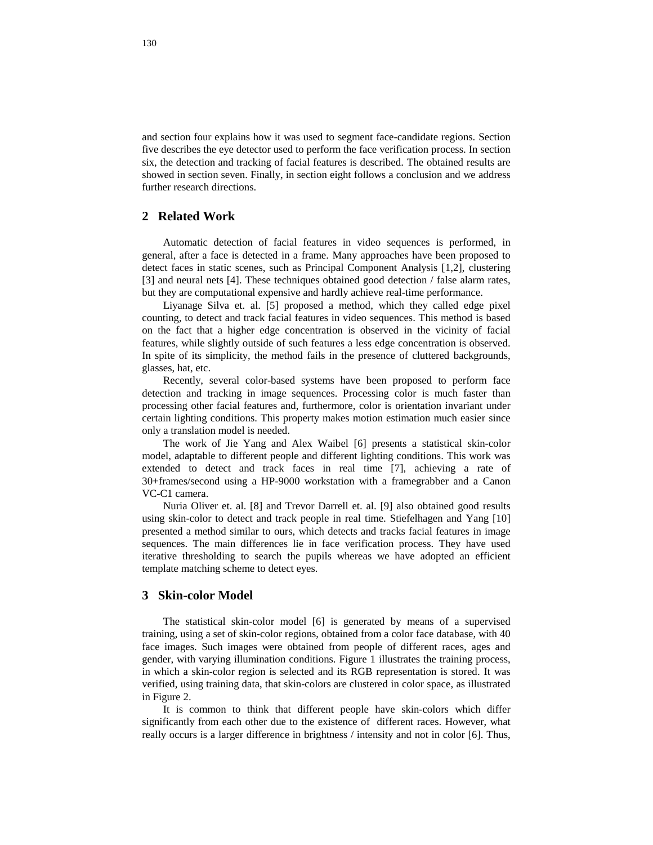and section four explains how it was used to segment face-candidate regions. Section five describes the eye detector used to perform the face verification process. In section six, the detection and tracking of facial features is described. The obtained results are showed in section seven. Finally, in section eight follows a conclusion and we address further research directions.

# **2 Related Work**

Automatic detection of facial features in video sequences is performed, in general, after a face is detected in a frame. Many approaches have been proposed to detect faces in static scenes, such as Principal Component Analysis [1,2], clustering [3] and neural nets [4]. These techniques obtained good detection / false alarm rates, but they are computational expensive and hardly achieve real-time performance.

Liyanage Silva et. al. [5] proposed a method, which they called edge pixel counting, to detect and track facial features in video sequences. This method is based on the fact that a higher edge concentration is observed in the vicinity of facial features, while slightly outside of such features a less edge concentration is observed. In spite of its simplicity, the method fails in the presence of cluttered backgrounds, glasses, hat, etc.

Recently, several color-based systems have been proposed to perform face detection and tracking in image sequences. Processing color is much faster than processing other facial features and, furthermore, color is orientation invariant under certain lighting conditions. This property makes motion estimation much easier since only a translation model is needed.

The work of Jie Yang and Alex Waibel [6] presents a statistical skin-color model, adaptable to different people and different lighting conditions. This work was extended to detect and track faces in real time [7], achieving a rate of 30+frames/second using a HP-9000 workstation with a framegrabber and a Canon VC-C1 camera.

Nuria Oliver et. al. [8] and Trevor Darrell et. al. [9] also obtained good results using skin-color to detect and track people in real time. Stiefelhagen and Yang [10] presented a method similar to ours, which detects and tracks facial features in image sequences. The main differences lie in face verification process. They have used iterative thresholding to search the pupils whereas we have adopted an efficient template matching scheme to detect eyes.

## **3 Skin-color Model**

The statistical skin-color model [6] is generated by means of a supervised training, using a set of skin-color regions, obtained from a color face database, with 40 face images. Such images were obtained from people of different races, ages and gender, with varying illumination conditions. Figure 1 illustrates the training process, in which a skin-color region is selected and its RGB representation is stored. It was verified, using training data, that skin-colors are clustered in color space, as illustrated in Figure 2.

It is common to think that different people have skin-colors which differ significantly from each other due to the existence of different races. However, what really occurs is a larger difference in brightness / intensity and not in color [6]. Thus,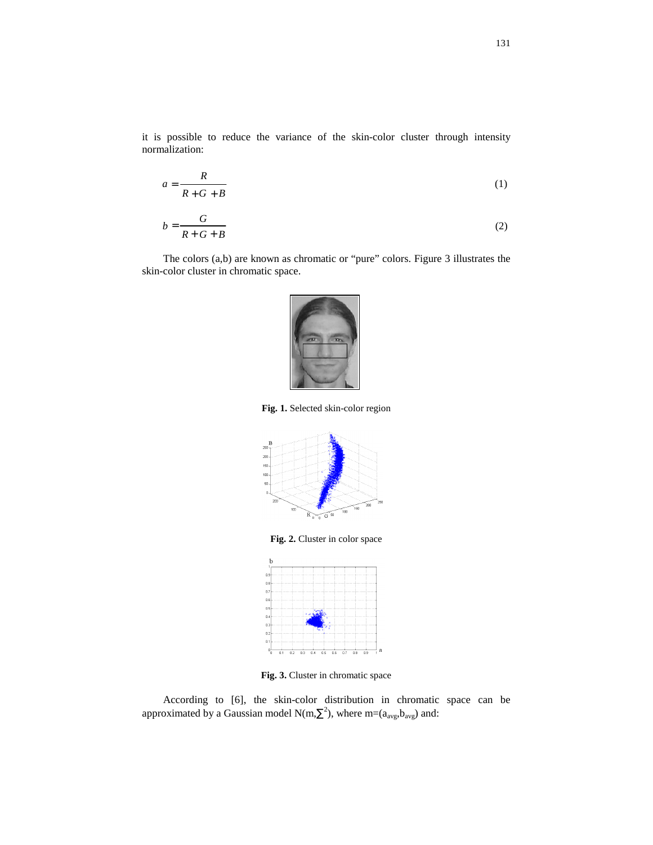it is possible to reduce the variance of the skin-color cluster through intensity normalization:

$$
a = \frac{R}{R + G + B} \tag{1}
$$

$$
b = \frac{G}{R + G + B} \tag{2}
$$

The colors (a,b) are known as chromatic or "pure" colors. Figure 3 illustrates the skin-color cluster in chromatic space.



**Fig. 1.** Selected skin-color region



**Fig. 2.** Cluster in color space



**Fig. 3.** Cluster in chromatic space

According to [6], the skin-color distribution in chromatic space can be approximated by a Gaussian model  $N(m,\Sigma^2)$ , where m= $(a_{avg},b_{avg})$  and: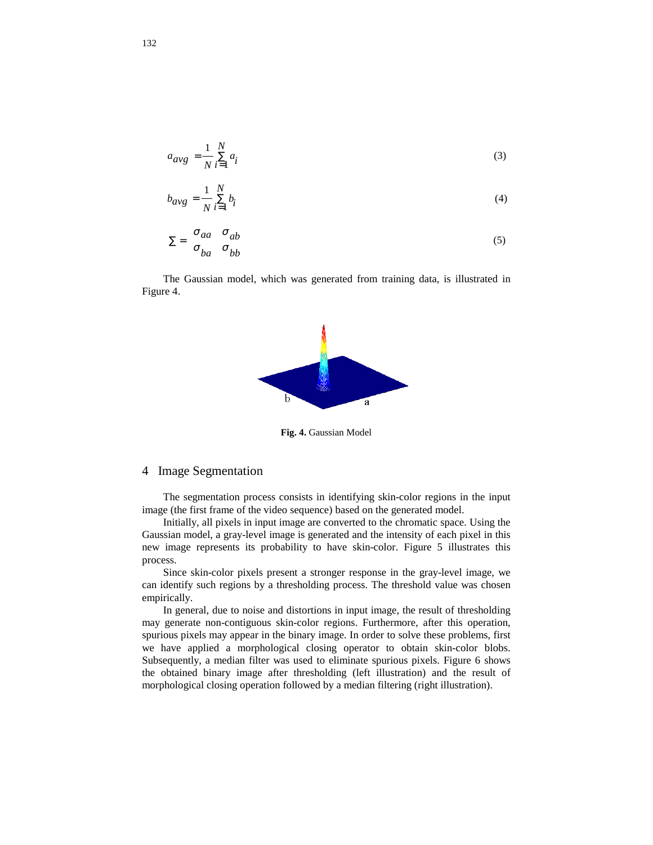$$
a_{avg} = \frac{1}{N} \sum_{i=1}^{N} a_i
$$
\n<sup>(3)</sup>

$$
b_{avg} = \frac{1}{N} \sum_{i=1}^{N} b_i
$$
\n<sup>(4)</sup>

$$
\Sigma = \begin{bmatrix} \sigma_{aa} & \sigma_{ab} \\ \sigma_{ba} & \sigma_{bb} \end{bmatrix}
$$
 (5)

The Gaussian model, which was generated from training data, is illustrated in Figure 4.



**Fig. 4.** Gaussian Model

### 4 Image Segmentation

The segmentation process consists in identifying skin-color regions in the input image (the first frame of the video sequence) based on the generated model.

Initially, all pixels in input image are converted to the chromatic space. Using the Gaussian model, a gray-level image is generated and the intensity of each pixel in this new image represents its probability to have skin-color. Figure 5 illustrates this process.

Since skin-color pixels present a stronger response in the gray-level image, we can identify such regions by a thresholding process. The threshold value was chosen empirically.

In general, due to noise and distortions in input image, the result of thresholding may generate non-contiguous skin-color regions. Furthermore, after this operation, spurious pixels may appear in the binary image. In order to solve these problems, first we have applied a morphological closing operator to obtain skin-color blobs. Subsequently, a median filter was used to eliminate spurious pixels. Figure 6 shows the obtained binary image after thresholding (left illustration) and the result of morphological closing operation followed by a median filtering (right illustration).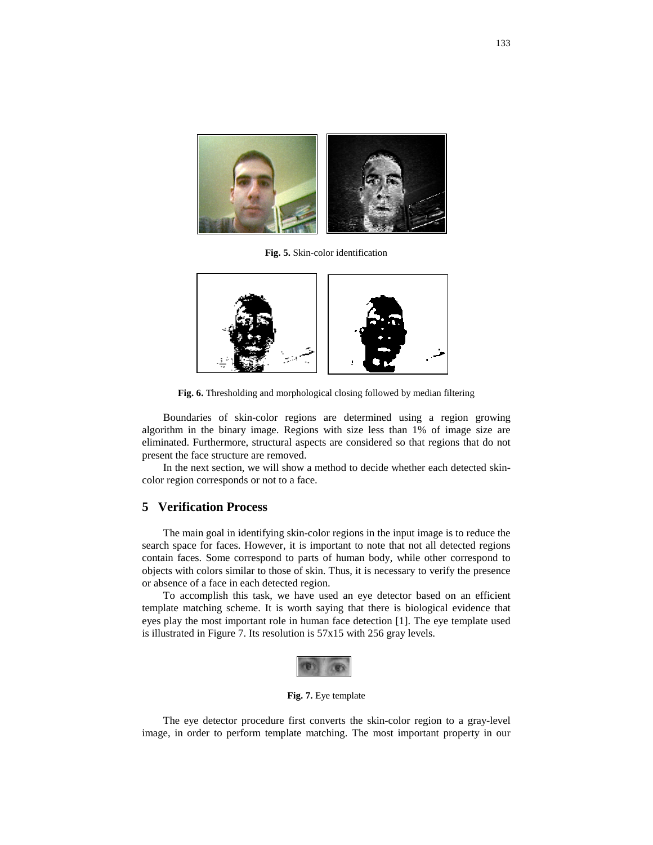

**Fig. 5.** Skin-color identification



**Fig. 6.** Thresholding and morphological closing followed by median filtering

Boundaries of skin-color regions are determined using a region growing algorithm in the binary image. Regions with size less than 1% of image size are eliminated. Furthermore, structural aspects are considered so that regions that do not present the face structure are removed.

In the next section, we will show a method to decide whether each detected skincolor region corresponds or not to a face.

### **5 Verification Process**

The main goal in identifying skin-color regions in the input image is to reduce the search space for faces. However, it is important to note that not all detected regions contain faces. Some correspond to parts of human body, while other correspond to objects with colors similar to those of skin. Thus, it is necessary to verify the presence or absence of a face in each detected region.

To accomplish this task, we have used an eye detector based on an efficient template matching scheme. It is worth saying that there is biological evidence that eyes play the most important role in human face detection [1]. The eye template used is illustrated in Figure 7. Its resolution is 57x15 with 256 gray levels.



**Fig. 7.** Eye template

The eye detector procedure first converts the skin-color region to a gray-level image, in order to perform template matching. The most important property in our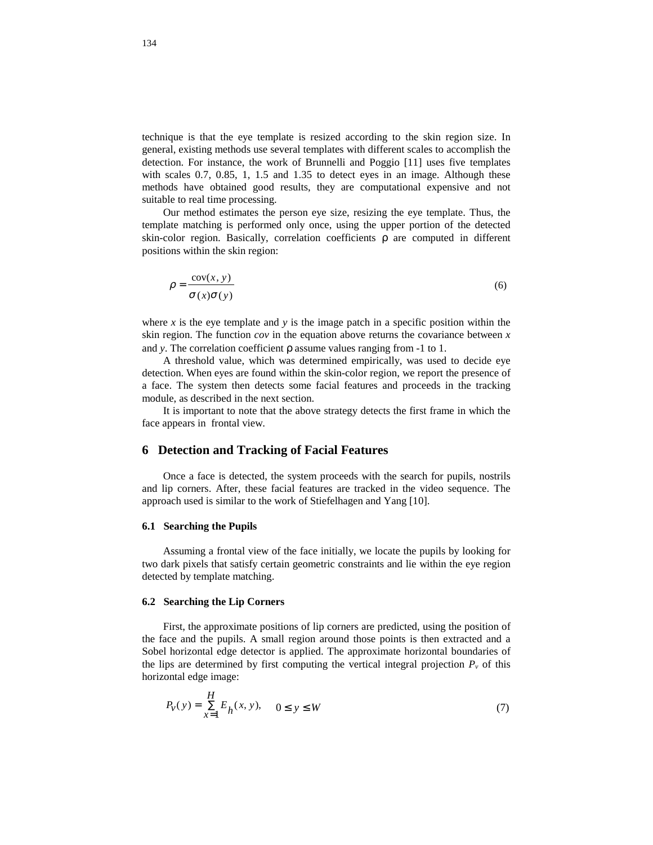technique is that the eye template is resized according to the skin region size. In general, existing methods use several templates with different scales to accomplish the detection. For instance, the work of Brunnelli and Poggio [11] uses five templates with scales 0.7, 0.85, 1, 1.5 and 1.35 to detect eyes in an image. Although these methods have obtained good results, they are computational expensive and not suitable to real time processing.

Our method estimates the person eye size, resizing the eye template. Thus, the template matching is performed only once, using the upper portion of the detected skin-color region. Basically, correlation coefficients ρ are computed in different positions within the skin region:

$$
\rho = \frac{\text{cov}(x, y)}{\sigma(x)\sigma(y)}\tag{6}
$$

where  $x$  is the eye template and  $y$  is the image patch in a specific position within the skin region. The function *cov* in the equation above returns the covariance between *x* and *y*. The correlation coefficient ρ assume values ranging from -1 to 1.

A threshold value, which was determined empirically, was used to decide eye detection. When eyes are found within the skin-color region, we report the presence of a face. The system then detects some facial features and proceeds in the tracking module, as described in the next section.

It is important to note that the above strategy detects the first frame in which the face appears in frontal view.

### **6 Detection and Tracking of Facial Features**

Once a face is detected, the system proceeds with the search for pupils, nostrils and lip corners. After, these facial features are tracked in the video sequence. The approach used is similar to the work of Stiefelhagen and Yang [10].

### **6.1 Searching the Pupils**

Assuming a frontal view of the face initially, we locate the pupils by looking for two dark pixels that satisfy certain geometric constraints and lie within the eye region detected by template matching.

#### **6.2 Searching the Lip Corners**

First, the approximate positions of lip corners are predicted, using the position of the face and the pupils. A small region around those points is then extracted and a Sobel horizontal edge detector is applied. The approximate horizontal boundaries of the lips are determined by first computing the vertical integral projection  $P_\nu$  of this horizontal edge image:

$$
P_v(y) = \sum_{x=1}^{H} E_h(x, y), \quad 0 \le y \le W
$$
 (7)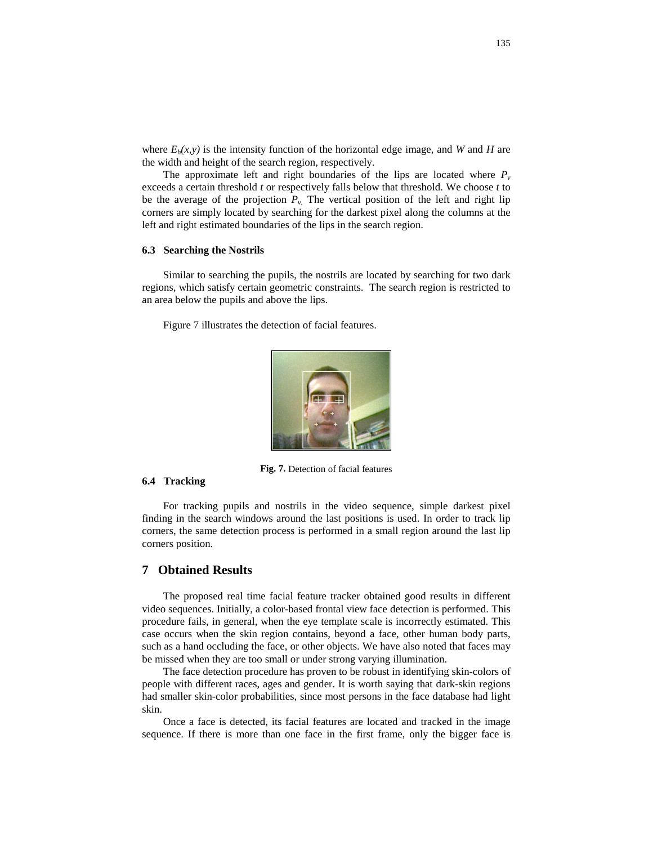where  $E_h(x, y)$  is the intensity function of the horizontal edge image, and *W* and *H* are the width and height of the search region, respectively.

The approximate left and right boundaries of the lips are located where  $P_\nu$ exceeds a certain threshold *t* or respectively falls below that threshold. We choose *t* to be the average of the projection  $P_v$ . The vertical position of the left and right lip corners are simply located by searching for the darkest pixel along the columns at the left and right estimated boundaries of the lips in the search region.

### **6.3 Searching the Nostrils**

Similar to searching the pupils, the nostrils are located by searching for two dark regions, which satisfy certain geometric constraints. The search region is restricted to an area below the pupils and above the lips.

Figure 7 illustrates the detection of facial features.



**Fig. 7.** Detection of facial features

### **6.4 Tracking**

For tracking pupils and nostrils in the video sequence, simple darkest pixel finding in the search windows around the last positions is used. In order to track lip corners, the same detection process is performed in a small region around the last lip corners position.

# **7 Obtained Results**

The proposed real time facial feature tracker obtained good results in different video sequences. Initially, a color-based frontal view face detection is performed. This procedure fails, in general, when the eye template scale is incorrectly estimated. This case occurs when the skin region contains, beyond a face, other human body parts, such as a hand occluding the face, or other objects. We have also noted that faces may be missed when they are too small or under strong varying illumination.

The face detection procedure has proven to be robust in identifying skin-colors of people with different races, ages and gender. It is worth saying that dark-skin regions had smaller skin-color probabilities, since most persons in the face database had light skin.

Once a face is detected, its facial features are located and tracked in the image sequence. If there is more than one face in the first frame, only the bigger face is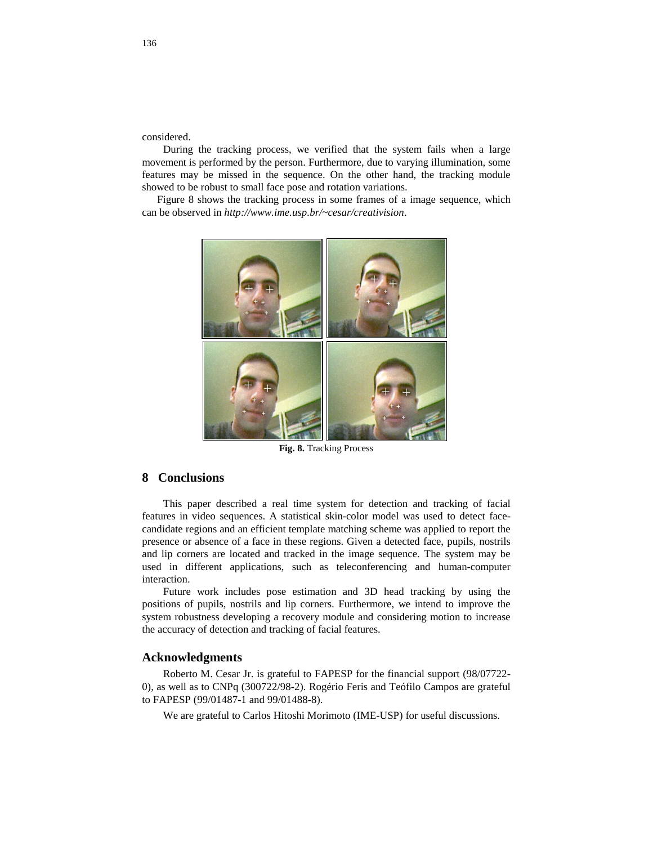considered.

During the tracking process, we verified that the system fails when a large movement is performed by the person. Furthermore, due to varying illumination, some features may be missed in the sequence. On the other hand, the tracking module showed to be robust to small face pose and rotation variations.

Figure 8 shows the tracking process in some frames of a image sequence, which can be observed in *http://www.ime.usp.br/~cesar/creativision*.



**Fig. 8.** Tracking Process

### **8 Conclusions**

This paper described a real time system for detection and tracking of facial features in video sequences. A statistical skin-color model was used to detect facecandidate regions and an efficient template matching scheme was applied to report the presence or absence of a face in these regions. Given a detected face, pupils, nostrils and lip corners are located and tracked in the image sequence. The system may be used in different applications, such as teleconferencing and human-computer interaction.

Future work includes pose estimation and 3D head tracking by using the positions of pupils, nostrils and lip corners. Furthermore, we intend to improve the system robustness developing a recovery module and considering motion to increase the accuracy of detection and tracking of facial features.

### **Acknowledgments**

Roberto M. Cesar Jr. is grateful to FAPESP for the financial support (98/07722- 0), as well as to CNPq (300722/98-2). Rogério Feris and Teófilo Campos are grateful to FAPESP (99/01487-1 and 99/01488-8).

We are grateful to Carlos Hitoshi Morimoto (IME-USP) for useful discussions.